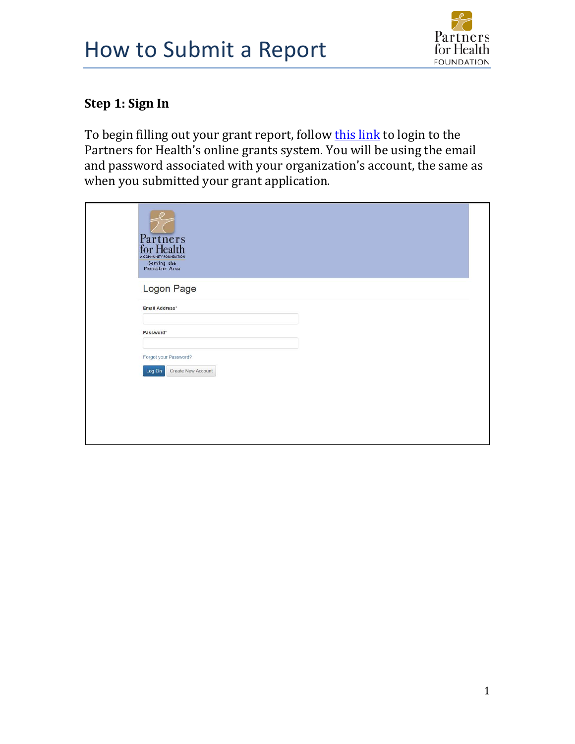## How to Submit a Report



## **Step 1: Sign In**

To begin filling out your grant report, follow [this link](https://www.grantinterface.com/Common/LogOn.aspx?eqs=ULUxrLEqb2zvawpiy-7fQT7gGGPW75To0) to login to the Partners for Health's online grants system. You will be using the email and password associated with your organization's account, the same as when you submitted your grant application.



Logon Page Email Address\* The Email Address\* field is required. Password\* The Password\* field is required. Log On Create New Account Forgot your Password?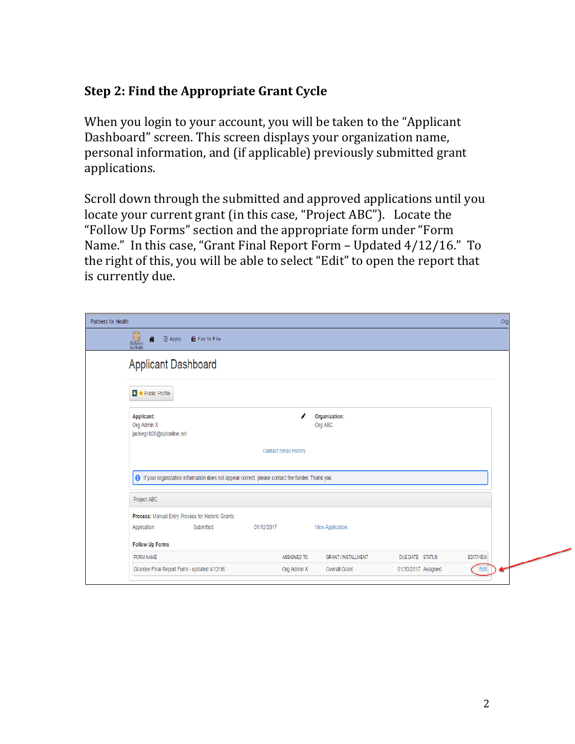## **Step 2: Find the Appropriate Grant Cycle**

When you login to your account, you will be taken to the "Applicant Dashboard" screen. This screen displays your organization name, personal information, and (if applicable) previously submitted grant applications.

Scroll down through the submitted and approved applications until you locate your current grant (in this case, "Project ABC"). Locate the "Follow Up Forms" section and the appropriate form under "Form Name." In this case, "Grant Final Report Form – Updated 4/12/16." To the right of this, you will be able to select "Edit" to open the report that is currently due.